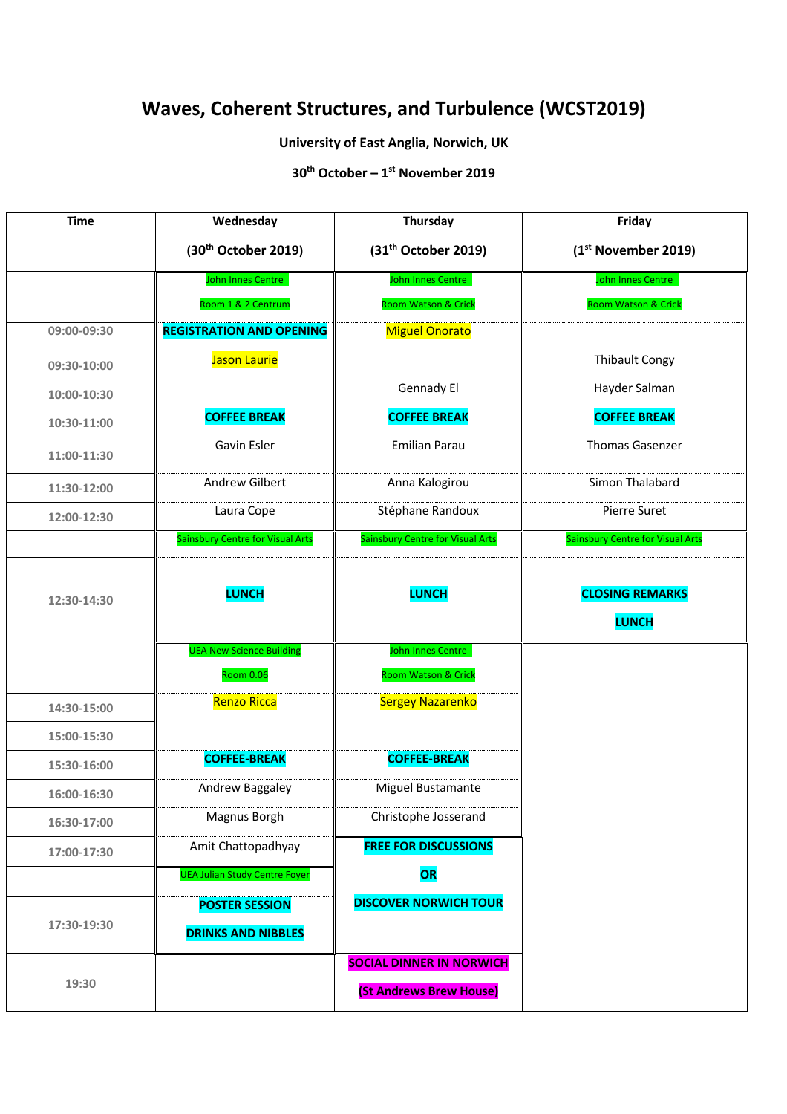# **Waves, Coherent Structures, and Turbulence (WCST2019)**

## **University of East Anglia, Norwich, UK**

**30th October – 1st November 2019**

| <b>Time</b> | Wednesday                                           | Thursday                                                          | Friday                                 |
|-------------|-----------------------------------------------------|-------------------------------------------------------------------|----------------------------------------|
|             | (30 <sup>th</sup> October 2019)                     | (31 <sup>th</sup> October 2019)                                   | (1 <sup>st</sup> November 2019)        |
|             | John Innes Centre                                   | John Innes Centre                                                 | John Innes Centre                      |
|             | Room 1 & 2 Centrum                                  | Room Watson & Crick                                               | Room Watson & Crick                    |
| 09:00-09:30 | <b>REGISTRATION AND OPENING</b>                     | <b>Miguel Onorato</b>                                             |                                        |
| 09:30-10:00 | Jason Laurie                                        |                                                                   | <b>Thibault Congy</b>                  |
| 10:00-10:30 |                                                     | Gennady El                                                        | Hayder Salman                          |
| 10:30-11:00 | <b>COFFEE BREAK</b>                                 | <b>COFFEE BREAK</b>                                               | <b>COFFEE BREAK</b>                    |
| 11:00-11:30 | Gavin Esler                                         | <b>Emilian Parau</b>                                              | <b>Thomas Gasenzer</b>                 |
| 11:30-12:00 | Andrew Gilbert                                      | Anna Kalogirou                                                    | Simon Thalabard                        |
| 12:00-12:30 | Laura Cope                                          | Stéphane Randoux                                                  | Pierre Suret                           |
|             | <b>Sainsbury Centre for Visual Arts</b>             | <b>Sainsbury Centre for Visual Arts</b>                           | Sainsbury Centre for Visual Arts       |
| 12:30-14:30 | <b>LUNCH</b>                                        | <b>LUNCH</b>                                                      | <b>CLOSING REMARKS</b><br><b>LUNCH</b> |
|             | <b>UEA New Science Building</b><br><b>Room 0.06</b> | John Innes Centre<br>Room Watson & Crick                          |                                        |
| 14:30-15:00 | Renzo Ricca                                         | <b>Sergey Nazarenko</b>                                           |                                        |
| 15:00-15:30 |                                                     |                                                                   |                                        |
| 15:30-16:00 | <b>COFFEE-BREAK</b>                                 | <b>COFFEE-BREAK</b>                                               |                                        |
| 16:00-16:30 | Andrew Baggaley                                     | Miguel Bustamante                                                 |                                        |
| 16:30-17:00 | Magnus Borgh                                        | Christophe Josserand                                              |                                        |
| 17:00-17:30 | Amit Chattopadhyay                                  | <b>FREE FOR DISCUSSIONS</b>                                       |                                        |
|             | <b>UEA Julian Study Centre Foyer</b>                | OR                                                                |                                        |
| 17:30-19:30 | <b>POSTER SESSION</b><br><b>DRINKS AND NIBBLES</b>  | <b>DISCOVER NORWICH TOUR</b>                                      |                                        |
| 19:30       |                                                     | <b>SOCIAL DINNER IN NORWICH</b><br><b>(St Andrews Brew House)</b> |                                        |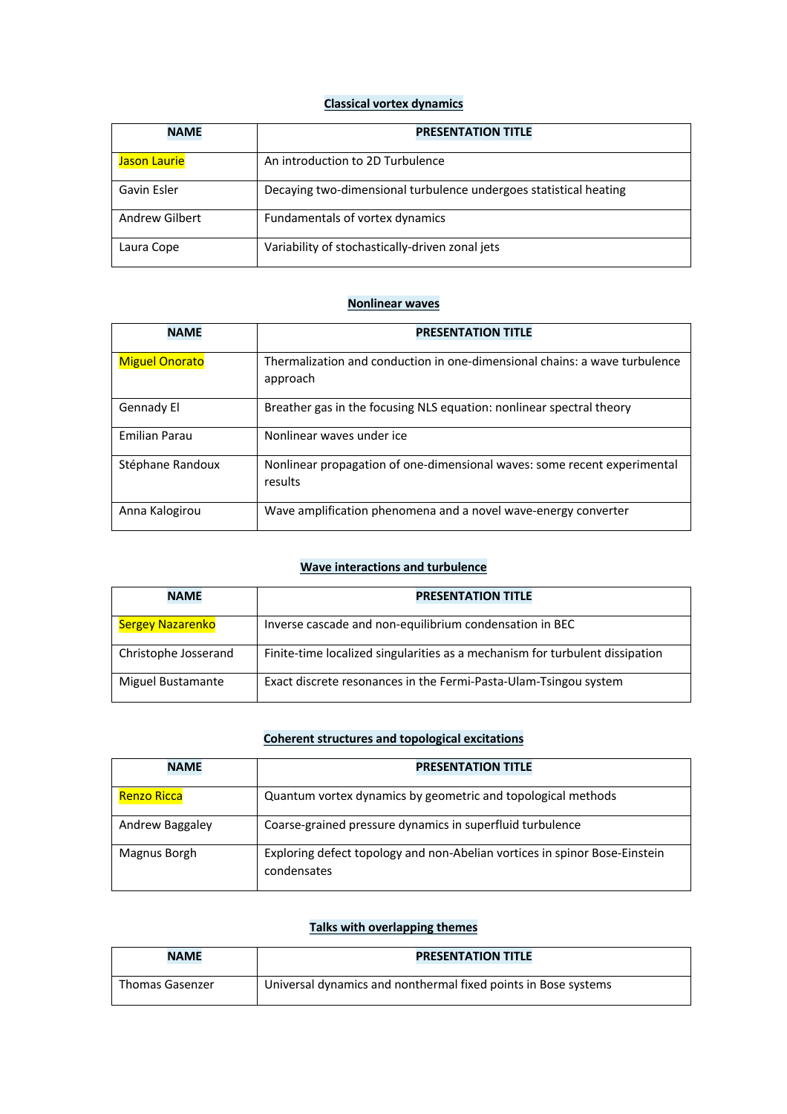#### **Classical vortex dynamics**

| <b>NAME</b>         | <b>PRESENTATION TITLE</b>                                         |
|---------------------|-------------------------------------------------------------------|
| <b>Jason Laurie</b> | An introduction to 2D Turbulence                                  |
| Gavin Esler         | Decaying two-dimensional turbulence undergoes statistical heating |
| Andrew Gilbert      | Fundamentals of vortex dynamics                                   |
| Laura Cope          | Variability of stochastically-driven zonal jets                   |

#### **Nonlinear waves**

| <b>NAME</b>           | <b>PRESENTATION TITLE</b>                                                  |
|-----------------------|----------------------------------------------------------------------------|
|                       |                                                                            |
| <b>Miguel Onorato</b> | Thermalization and conduction in one-dimensional chains: a wave turbulence |
|                       | approach                                                                   |
|                       |                                                                            |
| Gennady El            | Breather gas in the focusing NLS equation: nonlinear spectral theory       |
|                       |                                                                            |
| <b>Emilian Parau</b>  | Nonlinear waves under ice                                                  |
|                       |                                                                            |
| Stéphane Randoux      | Nonlinear propagation of one-dimensional waves: some recent experimental   |
|                       | results                                                                    |
|                       |                                                                            |
| Anna Kalogirou        | Wave amplification phenomena and a novel wave-energy converter             |
|                       |                                                                            |

#### **Wave interactions and turbulence**

| <b>NAME</b>          | <b>PRESENTATION TITLE</b>                                                    |
|----------------------|------------------------------------------------------------------------------|
| Sergey Nazarenko     | Inverse cascade and non-equilibrium condensation in BEC                      |
| Christophe Josserand | Finite-time localized singularities as a mechanism for turbulent dissipation |
| Miguel Bustamante    | Exact discrete resonances in the Fermi-Pasta-Ulam-Tsingou system             |

# **Coherent structures and topological excitations**

| <b>NAME</b>     | <b>PRESENTATION TITLE</b>                                                                 |
|-----------------|-------------------------------------------------------------------------------------------|
| Renzo Ricca     | Quantum vortex dynamics by geometric and topological methods                              |
| Andrew Baggaley | Coarse-grained pressure dynamics in superfluid turbulence                                 |
| Magnus Borgh    | Exploring defect topology and non-Abelian vortices in spinor Bose-Einstein<br>condensates |

### **Talks with overlapping themes**

| <b>NAME</b>     | <b>PRESENTATION TITLE</b>                                      |  |
|-----------------|----------------------------------------------------------------|--|
| Thomas Gasenzer | Universal dynamics and nonthermal fixed points in Bose systems |  |